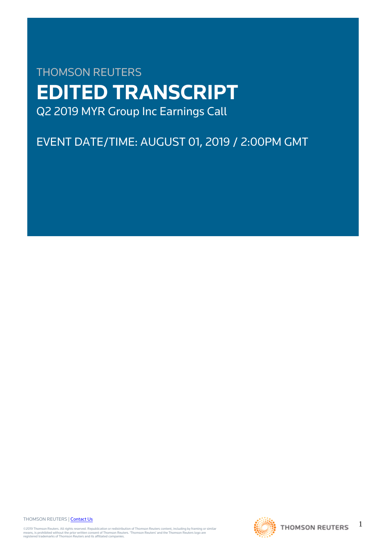# THOMSON REUTERS **EDITED TRANSCRIPT** Q2 2019 MYR Group Inc Earnings Call

## EVENT DATE/TIME: AUGUST 01, 2019 / 2:00PM GMT

THOMSON REUTERS | [Contact Us](https://my.thomsonreuters.com/ContactUsNew)

©2019 Thomson Reuters. All rights reserved. Republication or redistribution of Thomson Reuters content, including by framing or similar<br>means, is prohibited without the prior written consent of Thomson Reuters. "Thomson Re



1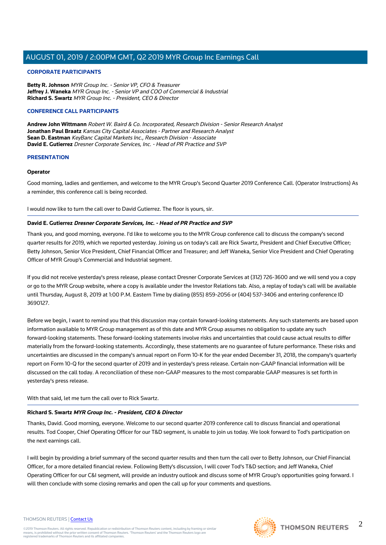### **CORPORATE PARTICIPANTS**

**Betty R. Johnson** MYR Group Inc. - Senior VP, CFO & Treasurer **Jeffrey J. Waneka** MYR Group Inc. - Senior VP and COO of Commercial & Industrial **Richard S. Swartz** MYR Group Inc. - President, CEO & Director

### **CONFERENCE CALL PARTICIPANTS**

**Andrew John Wittmann** Robert W. Baird & Co. Incorporated, Research Division - Senior Research Analyst **Jonathan Paul Braatz** Kansas City Capital Associates - Partner and Research Analyst **Sean D. Eastman** KeyBanc Capital Markets Inc., Research Division - Associate **David E. Gutierrez** Dresner Corporate Services, Inc. - Head of PR Practice and SVP

### **PRESENTATION**

### **Operator**

Good morning, ladies and gentlemen, and welcome to the MYR Group's Second Quarter 2019 Conference Call. (Operator Instructions) As a reminder, this conference call is being recorded.

I would now like to turn the call over to David Gutierrez. The floor is yours, sir.

### **David E. Gutierrez Dresner Corporate Services, Inc. - Head of PR Practice and SVP**

Thank you, and good morning, everyone. I'd like to welcome you to the MYR Group conference call to discuss the company's second quarter results for 2019, which we reported yesterday. Joining us on today's call are Rick Swartz, President and Chief Executive Officer; Betty Johnson, Senior Vice President, Chief Financial Officer and Treasurer; and Jeff Waneka, Senior Vice President and Chief Operating Officer of MYR Group's Commercial and Industrial segment.

If you did not receive yesterday's press release, please contact Dresner Corporate Services at (312) 726-3600 and we will send you a copy or go to the MYR Group website, where a copy is available under the Investor Relations tab. Also, a replay of today's call will be available until Thursday, August 8, 2019 at 1:00 P.M. Eastern Time by dialing (855) 859-2056 or (404) 537-3406 and entering conference ID 3690127.

Before we begin, I want to remind you that this discussion may contain forward-looking statements. Any such statements are based upon information available to MYR Group management as of this date and MYR Group assumes no obligation to update any such forward-looking statements. These forward-looking statements involve risks and uncertainties that could cause actual results to differ materially from the forward-looking statements. Accordingly, these statements are no guarantee of future performance. These risks and uncertainties are discussed in the company's annual report on Form 10-K for the year ended December 31, 2018, the company's quarterly report on Form 10-Q for the second quarter of 2019 and in yesterday's press release. Certain non-GAAP financial information will be discussed on the call today. A reconciliation of these non-GAAP measures to the most comparable GAAP measures is set forth in yesterday's press release.

With that said, let me turn the call over to Rick Swartz.

### **Richard S. Swartz MYR Group Inc. - President, CEO & Director**

Thanks, David. Good morning, everyone. Welcome to our second quarter 2019 conference call to discuss financial and operational results. Tod Cooper, Chief Operating Officer for our T&D segment, is unable to join us today. We look forward to Tod's participation on the next earnings call.

I will begin by providing a brief summary of the second quarter results and then turn the call over to Betty Johnson, our Chief Financial Officer, for a more detailed financial review. Following Betty's discussion, I will cover Tod's T&D section; and Jeff Waneka, Chief Operating Officer for our C&I segment, will provide an industry outlook and discuss some of MYR Group's opportunities going forward. I will then conclude with some closing remarks and open the call up for your comments and questions.



#### THOMSON REUTERS | [Contact Us](https://my.thomsonreuters.com/ContactUsNew)

 $\mathfrak{D}$ **THOMSON REUTERS**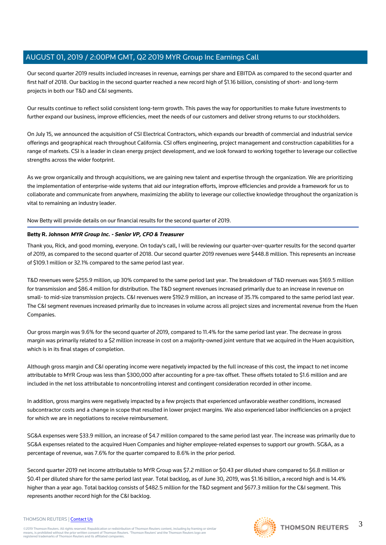Our second quarter 2019 results included increases in revenue, earnings per share and EBITDA as compared to the second quarter and first half of 2018. Our backlog in the second quarter reached a new record high of \$1.16 billion, consisting of short- and long-term projects in both our T&D and C&I segments.

Our results continue to reflect solid consistent long-term growth. This paves the way for opportunities to make future investments to further expand our business, improve efficiencies, meet the needs of our customers and deliver strong returns to our stockholders.

On July 15, we announced the acquisition of CSI Electrical Contractors, which expands our breadth of commercial and industrial service offerings and geographical reach throughout California. CSI offers engineering, project management and construction capabilities for a range of markets. CSI is a leader in clean energy project development, and we look forward to working together to leverage our collective strengths across the wider footprint.

As we grow organically and through acquisitions, we are gaining new talent and expertise through the organization. We are prioritizing the implementation of enterprise-wide systems that aid our integration efforts, improve efficiencies and provide a framework for us to collaborate and communicate from anywhere, maximizing the ability to leverage our collective knowledge throughout the organization is vital to remaining an industry leader.

Now Betty will provide details on our financial results for the second quarter of 2019.

### **Betty R. Johnson MYR Group Inc. - Senior VP, CFO & Treasurer**

Thank you, Rick, and good morning, everyone. On today's call, I will be reviewing our quarter-over-quarter results for the second quarter of 2019, as compared to the second quarter of 2018. Our second quarter 2019 revenues were \$448.8 million. This represents an increase of \$109.1 million or 32.1% compared to the same period last year.

T&D revenues were \$255.9 million, up 30% compared to the same period last year. The breakdown of T&D revenues was \$169.5 million for transmission and \$86.4 million for distribution. The T&D segment revenues increased primarily due to an increase in revenue on small- to mid-size transmission projects. C&I revenues were \$192.9 million, an increase of 35.1% compared to the same period last year. The C&I segment revenues increased primarily due to increases in volume across all project sizes and incremental revenue from the Huen Companies.

Our gross margin was 9.6% for the second quarter of 2019, compared to 11.4% for the same period last year. The decrease in gross margin was primarily related to a \$2 million increase in cost on a majority-owned joint venture that we acquired in the Huen acquisition, which is in its final stages of completion.

Although gross margin and C&I operating income were negatively impacted by the full increase of this cost, the impact to net income attributable to MYR Group was less than \$300,000 after accounting for a pre-tax offset. These offsets totaled to \$1.6 million and are included in the net loss attributable to noncontrolling interest and contingent consideration recorded in other income.

In addition, gross margins were negatively impacted by a few projects that experienced unfavorable weather conditions, increased subcontractor costs and a change in scope that resulted in lower project margins. We also experienced labor inefficiencies on a project for which we are in negotiations to receive reimbursement.

SG&A expenses were \$33.9 million, an increase of \$4.7 million compared to the same period last year. The increase was primarily due to SG&A expenses related to the acquired Huen Companies and higher employee-related expenses to support our growth. SG&A, as a percentage of revenue, was 7.6% for the quarter compared to 8.6% in the prior period.

Second quarter 2019 net income attributable to MYR Group was \$7.2 million or \$0.43 per diluted share compared to \$6.8 million or \$0.41 per diluted share for the same period last year. Total backlog, as of June 30, 2019, was \$1.16 billion, a record high and is 14.4% higher than a year ago. Total backlog consists of \$482.5 million for the T&D segment and \$677.3 million for the C&I segment. This represents another record high for the C&I backlog.

### THOMSON REUTERS | [Contact Us](https://my.thomsonreuters.com/ContactUsNew)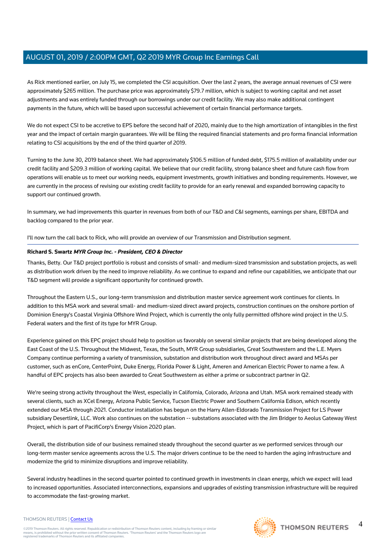As Rick mentioned earlier, on July 15, we completed the CSI acquisition. Over the last 2 years, the average annual revenues of CSI were approximately \$265 million. The purchase price was approximately \$79.7 million, which is subject to working capital and net asset adjustments and was entirely funded through our borrowings under our credit facility. We may also make additional contingent payments in the future, which will be based upon successful achievement of certain financial performance targets.

We do not expect CSI to be accretive to EPS before the second half of 2020, mainly due to the high amortization of intangibles in the first year and the impact of certain margin guarantees. We will be filing the required financial statements and pro forma financial information relating to CSI acquisitions by the end of the third quarter of 2019.

Turning to the June 30, 2019 balance sheet. We had approximately \$106.5 million of funded debt, \$175.5 million of availability under our credit facility and \$209.3 million of working capital. We believe that our credit facility, strong balance sheet and future cash flow from operations will enable us to meet our working needs, equipment investments, growth initiatives and bonding requirements. However, we are currently in the process of revising our existing credit facility to provide for an early renewal and expanded borrowing capacity to support our continued growth.

In summary, we had improvements this quarter in revenues from both of our T&D and C&I segments, earnings per share, EBITDA and backlog compared to the prior year.

I'll now turn the call back to Rick, who will provide an overview of our Transmission and Distribution segment.

### **Richard S. Swartz MYR Group Inc. - President, CEO & Director**

Thanks, Betty. Our T&D project portfolio is robust and consists of small- and medium-sized transmission and substation projects, as well as distribution work driven by the need to improve reliability. As we continue to expand and refine our capabilities, we anticipate that our T&D segment will provide a significant opportunity for continued growth.

Throughout the Eastern U.S., our long-term transmission and distribution master service agreement work continues for clients. In addition to this MSA work and several small- and medium-sized direct award projects, construction continues on the onshore portion of Dominion Energy's Coastal Virginia Offshore Wind Project, which is currently the only fully permitted offshore wind project in the U.S. Federal waters and the first of its type for MYR Group.

Experience gained on this EPC project should help to position us favorably on several similar projects that are being developed along the East Coast of the U.S. Throughout the Midwest, Texas, the South, MYR Group subsidiaries, Great Southwestern and the L.E. Myers Company continue performing a variety of transmission, substation and distribution work throughout direct award and MSAs per customer, such as enCore, CenterPoint, Duke Energy, Florida Power & Light, Ameren and American Electric Power to name a few. A handful of EPC projects has also been awarded to Great Southwestern as either a prime or subcontract partner in Q2.

We're seeing strong activity throughout the West, especially in California, Colorado, Arizona and Utah. MSA work remained steady with several clients, such as XCel Energy, Arizona Public Service, Tucson Electric Power and Southern California Edison, which recently extended our MSA through 2021. Conductor installation has begun on the Harry Allen-Eldorado Transmission Project for LS Power subsidiary Desertlink, LLC. Work also continues on the substation -- substations associated with the Jim Bridger to Aeolus Gateway West Project, which is part of PacifiCorp's Energy Vision 2020 plan.

Overall, the distribution side of our business remained steady throughout the second quarter as we performed services through our long-term master service agreements across the U.S. The major drivers continue to be the need to harden the aging infrastructure and modernize the grid to minimize disruptions and improve reliability.

Several industry headlines in the second quarter pointed to continued growth in investments in clean energy, which we expect will lead to increased opportunities. Associated interconnections, expansions and upgrades of existing transmission infrastructure will be required to accommodate the fast-growing market.



#### THOMSON REUTERS | [Contact Us](https://my.thomsonreuters.com/ContactUsNew)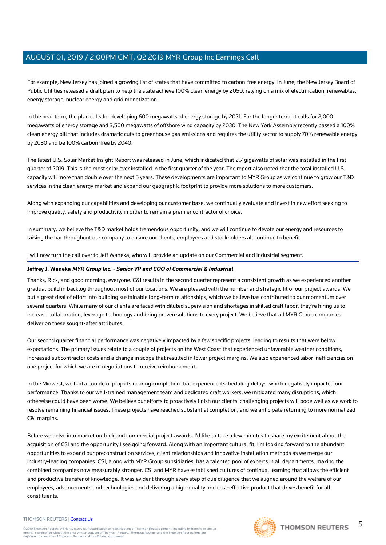For example, New Jersey has joined a growing list of states that have committed to carbon-free energy. In June, the New Jersey Board of Public Utilities released a draft plan to help the state achieve 100% clean energy by 2050, relying on a mix of electrification, renewables, energy storage, nuclear energy and grid monetization.

In the near term, the plan calls for developing 600 megawatts of energy storage by 2021. For the longer term, it calls for 2,000 megawatts of energy storage and 3,500 megawatts of offshore wind capacity by 2030. The New York Assembly recently passed a 100% clean energy bill that includes dramatic cuts to greenhouse gas emissions and requires the utility sector to supply 70% renewable energy by 2030 and be 100% carbon-free by 2040.

The latest U.S. Solar Market Insight Report was released in June, which indicated that 2.7 gigawatts of solar was installed in the first quarter of 2019. This is the most solar ever installed in the first quarter of the year. The report also noted that the total installed U.S. capacity will more than double over the next 5 years. These developments are important to MYR Group as we continue to grow our T&D services in the clean energy market and expand our geographic footprint to provide more solutions to more customers.

Along with expanding our capabilities and developing our customer base, we continually evaluate and invest in new effort seeking to improve quality, safety and productivity in order to remain a premier contractor of choice.

In summary, we believe the T&D market holds tremendous opportunity, and we will continue to devote our energy and resources to raising the bar throughout our company to ensure our clients, employees and stockholders all continue to benefit.

I will now turn the call over to Jeff Waneka, who will provide an update on our Commercial and Industrial segment.

### **Jeffrey J. Waneka MYR Group Inc. - Senior VP and COO of Commercial & Industrial**

Thanks, Rick, and good morning, everyone. C&I results in the second quarter represent a consistent growth as we experienced another gradual build in backlog throughout most of our locations. We are pleased with the number and strategic fit of our project awards. We put a great deal of effort into building sustainable long-term relationships, which we believe has contributed to our momentum over several quarters. While many of our clients are faced with diluted supervision and shortages in skilled craft labor, they're hiring us to increase collaboration, leverage technology and bring proven solutions to every project. We believe that all MYR Group companies deliver on these sought-after attributes.

Our second quarter financial performance was negatively impacted by a few specific projects, leading to results that were below expectations. The primary issues relate to a couple of projects on the West Coast that experienced unfavorable weather conditions, increased subcontractor costs and a change in scope that resulted in lower project margins. We also experienced labor inefficiencies on one project for which we are in negotiations to receive reimbursement.

In the Midwest, we had a couple of projects nearing completion that experienced scheduling delays, which negatively impacted our performance. Thanks to our well-trained management team and dedicated craft workers, we mitigated many disruptions, which otherwise could have been worse. We believe our efforts to proactively finish our clients' challenging projects will bode well as we work to resolve remaining financial issues. These projects have reached substantial completion, and we anticipate returning to more normalized C&I margins.

Before we delve into market outlook and commercial project awards, I'd like to take a few minutes to share my excitement about the acquisition of CSI and the opportunity I see going forward. Along with an important cultural fit, I'm looking forward to the abundant opportunities to expand our preconstruction services, client relationships and innovative installation methods as we merge our industry-leading companies. CSI, along with MYR Group subsidiaries, has a talented pool of experts in all departments, making the combined companies now measurably stronger. CSI and MYR have established cultures of continual learning that allows the efficient and productive transfer of knowledge. It was evident through every step of due diligence that we aligned around the welfare of our employees, advancements and technologies and delivering a high-quality and cost-effective product that drives benefit for all constituents.

#### THOMSON REUTERS | [Contact Us](https://my.thomsonreuters.com/ContactUsNew)

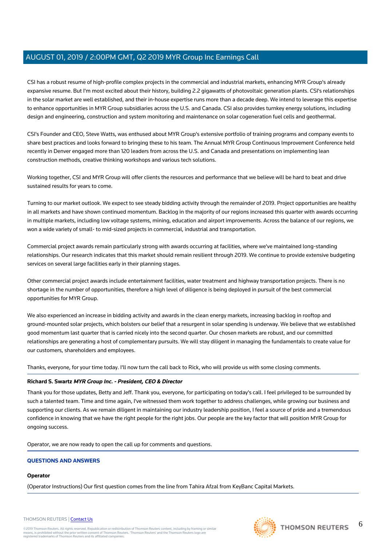CSI has a robust resume of high-profile complex projects in the commercial and industrial markets, enhancing MYR Group's already expansive resume. But I'm most excited about their history, building 2.2 gigawatts of photovoltaic generation plants. CSI's relationships in the solar market are well established, and their in-house expertise runs more than a decade deep. We intend to leverage this expertise to enhance opportunities in MYR Group subsidiaries across the U.S. and Canada. CSI also provides turnkey energy solutions, including design and engineering, construction and system monitoring and maintenance on solar cogeneration fuel cells and geothermal.

CSI's Founder and CEO, Steve Watts, was enthused about MYR Group's extensive portfolio of training programs and company events to share best practices and looks forward to bringing these to his team. The Annual MYR Group Continuous Improvement Conference held recently in Denver engaged more than 120 leaders from across the U.S. and Canada and presentations on implementing lean construction methods, creative thinking workshops and various tech solutions.

Working together, CSI and MYR Group will offer clients the resources and performance that we believe will be hard to beat and drive sustained results for years to come.

Turning to our market outlook. We expect to see steady bidding activity through the remainder of 2019. Project opportunities are healthy in all markets and have shown continued momentum. Backlog in the majority of our regions increased this quarter with awards occurring in multiple markets, including low voltage systems, mining, education and airport improvements. Across the balance of our regions, we won a wide variety of small- to mid-sized projects in commercial, industrial and transportation.

Commercial project awards remain particularly strong with awards occurring at facilities, where we've maintained long-standing relationships. Our research indicates that this market should remain resilient through 2019. We continue to provide extensive budgeting services on several large facilities early in their planning stages.

Other commercial project awards include entertainment facilities, water treatment and highway transportation projects. There is no shortage in the number of opportunities, therefore a high level of diligence is being deployed in pursuit of the best commercial opportunities for MYR Group.

We also experienced an increase in bidding activity and awards in the clean energy markets, increasing backlog in rooftop and ground-mounted solar projects, which bolsters our belief that a resurgent in solar spending is underway. We believe that we established good momentum last quarter that is carried nicely into the second quarter. Our chosen markets are robust, and our committed relationships are generating a host of complementary pursuits. We will stay diligent in managing the fundamentals to create value for our customers, shareholders and employees.

Thanks, everyone, for your time today. I'll now turn the call back to Rick, who will provide us with some closing comments.

### **Richard S. Swartz MYR Group Inc. - President, CEO & Director**

Thank you for those updates, Betty and Jeff. Thank you, everyone, for participating on today's call. I feel privileged to be surrounded by such a talented team. Time and time again, I've witnessed them work together to address challenges, while growing our business and supporting our clients. As we remain diligent in maintaining our industry leadership position, I feel a source of pride and a tremendous confidence in knowing that we have the right people for the right jobs. Our people are the key factor that will position MYR Group for ongoing success.

Operator, we are now ready to open the call up for comments and questions.

### **QUESTIONS AND ANSWERS**

### **Operator**

(Operator Instructions) Our first question comes from the line from Tahira Afzal from KeyBanc Capital Markets.



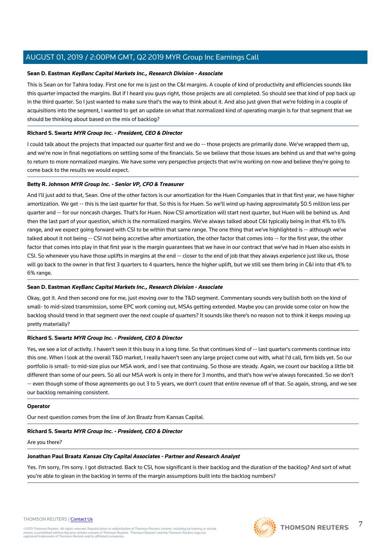### **Sean D. Eastman KeyBanc Capital Markets Inc., Research Division - Associate**

This is Sean on for Tahira today. First one for me is just on the C&I margins. A couple of kind of productivity and efficiencies sounds like this quarter impacted the margins. But if I heard you guys right, those projects are all completed. So should see that kind of pop back up in the third quarter. So I just wanted to make sure that's the way to think about it. And also just given that we're folding in a couple of acquisitions into the segment, I wanted to get an update on what that normalized kind of operating margin is for that segment that we should be thinking about based on the mix of backlog?

### **Richard S. Swartz MYR Group Inc. - President, CEO & Director**

I could talk about the projects that impacted our quarter first and we do -- those projects are primarily done. We've wrapped them up, and we're now in final negotiations on settling some of the financials. So we believe that those issues are behind us and that we're going to return to more normalized margins. We have some very perspective projects that we're working on now and believe they're going to come back to the results we would expect.

### **Betty R. Johnson MYR Group Inc. - Senior VP, CFO & Treasurer**

And I'll just add to that, Sean. One of the other factors is our amortization for the Huen Companies that in that first year, we have higher amortization. We get -- this is the last quarter for that. So this is for Huen. So we'll wind up having approximately \$0.5 million less per quarter and -- for our noncash charges. That's for Huen. Now CSI amortization will start next quarter, but Huen will be behind us. And then the last part of your question, which is the normalized margins. We've always talked about C&I typically being in that 4% to 6% range, and we expect going forward with CSI to be within that same range. The one thing that we've highlighted is -- although we've talked about it not being -- CSI not being accretive after amortization, the other factor that comes into -- for the first year, the other factor that comes into play in that first year is the margin guarantees that we have in our contract that we've had in Huen also exists in CSI. So whenever you have those uplifts in margins at the end -- closer to the end of job that they always experience just like us, those will go back to the owner in that first 3 quarters to 4 quarters, hence the higher uplift, but we still see them bring in C&I into that 4% to 6% range.

### **Sean D. Eastman KeyBanc Capital Markets Inc., Research Division - Associate**

Okay, got it. And then second one for me, just moving over to the T&D segment. Commentary sounds very bullish both on the kind of small- to mid-sized transmission, some EPC work coming out, MSAs getting extended. Maybe you can provide some color on how the backlog should trend in that segment over the next couple of quarters? It sounds like there's no reason not to think it keeps moving up pretty materially?

### **Richard S. Swartz MYR Group Inc. - President, CEO & Director**

Yes, we see a lot of activity. I haven't seen it this busy in a long time. So that continues kind of -- last quarter's comments continue into this one. When I look at the overall T&D market, I really haven't seen any large project come out with, what I'd call, firm bids yet. So our portfolio is small- to mid-size plus our MSA work, and I see that continuing. So those are steady. Again, we count our backlog a little bit different than some of our peers. So all our MSA work is only in there for 3 months, and that's how we've always forecasted. So we don't -- even though some of those agreements go out 3 to 5 years, we don't count that entire revenue off of that. So again, strong, and we see our backlog remaining consistent.

### **Operator**

Our next question comes from the line of Jon Braatz from Kansas Capital.

### **Richard S. Swartz MYR Group Inc. - President, CEO & Director**

Are you there?

### **Jonathan Paul Braatz Kansas City Capital Associates - Partner and Research Analyst**

Yes. I'm sorry, I'm sorry. I got distracted. Back to CSI, how significant is their backlog and the duration of the backlog? And sort of what you're able to glean in the backlog in terms of the margin assumptions built into the backlog numbers?



7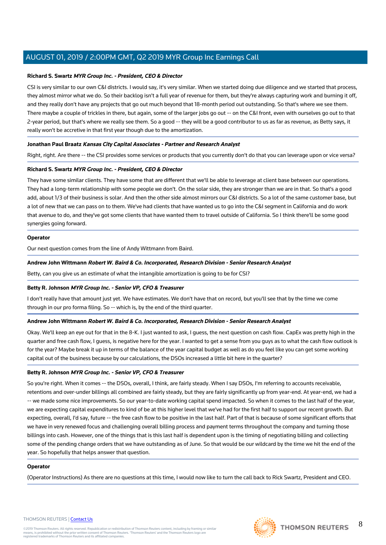### **Richard S. Swartz MYR Group Inc. - President, CEO & Director**

CSI is very similar to our own C&I districts. I would say, it's very similar. When we started doing due diligence and we started that process, they almost mirror what we do. So their backlog isn't a full year of revenue for them, but they're always capturing work and burning it off, and they really don't have any projects that go out much beyond that 18-month period out outstanding. So that's where we see them. There maybe a couple of trickles in there, but again, some of the larger jobs go out -- on the C&I front, even with ourselves go out to that 2-year period, but that's where we really see them. So a good -- they will be a good contributor to us as far as revenue, as Betty says, it really won't be accretive in that first year though due to the amortization.

### **Jonathan Paul Braatz Kansas City Capital Associates - Partner and Research Analyst**

Right, right. Are there -- the CSI provides some services or products that you currently don't do that you can leverage upon or vice versa?

### **Richard S. Swartz MYR Group Inc. - President, CEO & Director**

They have some similar clients. They have some that are different that we'll be able to leverage at client base between our operations. They had a long-term relationship with some people we don't. On the solar side, they are stronger than we are in that. So that's a good add, about 1/3 of their business is solar. And then the other side almost mirrors our C&I districts. So a lot of the same customer base, but a lot of new that we can pass on to them. We've had clients that have wanted us to go into the C&I segment in California and do work that avenue to do, and they've got some clients that have wanted them to travel outside of California. So I think there'll be some good synergies going forward.

### **Operator**

Our next question comes from the line of Andy Wittmann from Baird.

### **Andrew John Wittmann Robert W. Baird & Co. Incorporated, Research Division - Senior Research Analyst**

Betty, can you give us an estimate of what the intangible amortization is going to be for CSI?

### **Betty R. Johnson MYR Group Inc. - Senior VP, CFO & Treasurer**

I don't really have that amount just yet. We have estimates. We don't have that on record, but you'll see that by the time we come through in our pro forma filing. So -- which is, by the end of the third quarter.

### **Andrew John Wittmann Robert W. Baird & Co. Incorporated, Research Division - Senior Research Analyst**

Okay. We'll keep an eye out for that in the 8-K. I just wanted to ask, I guess, the next question on cash flow. CapEx was pretty high in the quarter and free cash flow, I guess, is negative here for the year. I wanted to get a sense from you guys as to what the cash flow outlook is for the year? Maybe break it up in terms of the balance of the year capital budget as well as do you feel like you can get some working capital out of the business because by our calculations, the DSOs increased a little bit here in the quarter?

### **Betty R. Johnson MYR Group Inc. - Senior VP, CFO & Treasurer**

So you're right. When it comes -- the DSOs, overall, I think, are fairly steady. When I say DSOs, I'm referring to accounts receivable, retentions and over-under billings all combined are fairly steady, but they are fairly significantly up from year-end. At year-end, we had a -- we made some nice improvements. So our year-to-date working capital spend impacted. So when it comes to the last half of the year, we are expecting capital expenditures to kind of be at this higher level that we've had for the first half to support our recent growth. But expecting, overall, I'd say, future -- the free cash flow to be positive in the last half. Part of that is because of some significant efforts that we have in very renewed focus and challenging overall billing process and payment terms throughout the company and turning those billings into cash. However, one of the things that is this last half is dependent upon is the timing of negotiating billing and collecting some of the pending change orders that we have outstanding as of June. So that would be our wildcard by the time we hit the end of the year. So hopefully that helps answer that question.

#### **Operator**

(Operator Instructions) As there are no questions at this time, I would now like to turn the call back to Rick Swartz, President and CEO.

#### THOMSON REUTERS | [Contact Us](https://my.thomsonreuters.com/ContactUsNew)